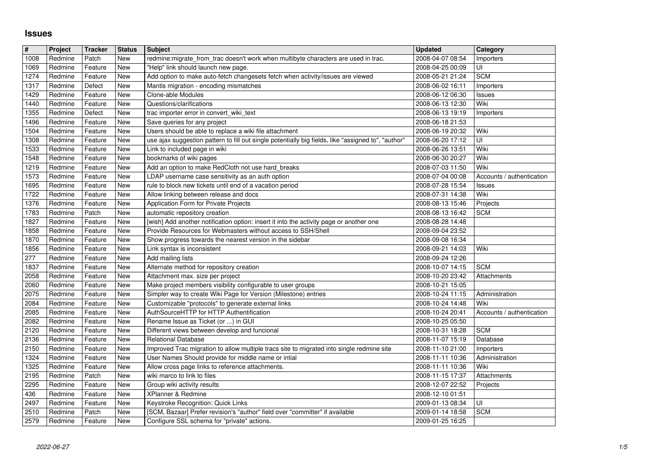## **Issues**

| $\vert \mathbf{H} \vert$ | Project            | <b>Tracker</b>     | <b>Status</b> | <b>Subject</b>                                                                                                              | <b>Updated</b>                       | Category                  |
|--------------------------|--------------------|--------------------|---------------|-----------------------------------------------------------------------------------------------------------------------------|--------------------------------------|---------------------------|
| 1008                     | Redmine            | Patch              | New           | redmine:migrate_from_trac doesn't work when multibyte characters are used in trac.                                          | 2008-04-07 08:54                     | Importers                 |
| 1069                     | Redmine            | Feature            | New           | "Help" link should launch new page.                                                                                         | 2008-04-25 00:09                     | UI                        |
| 1274                     | Redmine            | Feature            | New           | Add option to make auto-fetch changesets fetch when activity/issues are viewed                                              | 2008-05-21 21:24                     | <b>SCM</b>                |
| 1317<br>1429             | Redmine<br>Redmine | Defect<br>Feature  | New<br>New    | Mantis migration - encoding mismatches<br>Clone-able Modules                                                                | 2008-06-02 16:11<br>2008-06-12 06:30 | Importers<br>Issues       |
| 1440                     | Redmine            | Feature            | New           | Questions/clarifications                                                                                                    | 2008-06-13 12:30                     | Wiki                      |
| 1355                     | Redmine            | Defect             | New           | trac importer error in convert_wiki_text                                                                                    | 2008-06-13 19:19                     | Importers                 |
| 1496                     | Redmine            | Feature            | New           | Save queries for any project                                                                                                | 2008-06-18 21:53                     |                           |
| 1504                     | Redmine            | Feature            | New           | Users should be able to replace a wiki file attachment                                                                      | 2008-06-19 20:32                     | Wiki                      |
| 1308                     | Redmine            | Feature            | New           | use ajax suggestion pattern to fill out single potentially big fields, like "assigned to", "author"                         | 2008-06-20 17:12                     | UI<br>Wiki                |
| 1533<br>1548             | Redmine<br>Redmine | Feature<br>Feature | New<br>New    | Link to included page in wiki<br>bookmarks of wiki pages                                                                    | 2008-06-26 13:51<br>2008-06-30 20:27 | Wiki                      |
| 1219                     | Redmine            | Feature            | New           | Add an option to make RedCloth not use hard_breaks                                                                          | 2008-07-03 11:50                     | Wiki                      |
| 1573                     | Redmine            | Feature            | New           | LDAP username case sensitivity as an auth option                                                                            | 2008-07-04 00:08                     | Accounts / authentication |
| 1695                     | Redmine            | Feature            | New           | rule to block new tickets until end of a vacation period                                                                    | 2008-07-28 15:54                     | Issues                    |
| 1722                     | Redmine            | Feature            | New           | Allow linking between release and docs                                                                                      | 2008-07-31 14:38                     | Wiki                      |
| 1376<br>1783             | Redmine<br>Redmine | Feature<br>Patch   | New<br>New    | Application Form for Private Projects<br>automatic repository creation                                                      | 2008-08-13 15:46<br>2008-08-13 16:42 | Projects<br><b>SCM</b>    |
| 1827                     | Redmine            | Feature            | New           | [wish] Add another notification option: insert it into the activity page or another one                                     | 2008-08-28 14:48                     |                           |
| 1858                     | Redmine            | Feature            | New           | Provide Resources for Webmasters without access to SSH/Shell                                                                | 2008-09-04 23:52                     |                           |
| 1870                     | Redmine            | Feature            | New           | Show progress towards the nearest version in the sidebar                                                                    | 2008-09-08 16:34                     |                           |
| 1856                     | Redmine            | Feature            | New           | Link syntax is inconsistent                                                                                                 | 2008-09-21 14:03                     | Wiki                      |
| 277<br>1837              | Redmine<br>Redmine | Feature<br>Feature | New<br>New    | <b>Add mailing lists</b><br>Alternate method for repository creation                                                        | 2008-09-24 12:26<br>2008-10-07 14:15 | <b>SCM</b>                |
| 2058                     | Redmine            | Feature            | New           | Attachment max. size per project                                                                                            | 2008-10-20 23:42                     | Attachments               |
| 2060                     | Redmine            | Feature            | New           | Make project members visibility configurable to user groups                                                                 | 2008-10-21 15:05                     |                           |
| 2075                     | Redmine            | Feature            | New           | Simpler way to create Wiki Page for Version (Milestone) entries                                                             | 2008-10-24 11:15                     | Administration            |
| 2084                     | Redmine            | Feature            | New           | Customizable "protocols" to generate external links                                                                         | 2008-10-24 14:48                     | Wiki                      |
| 2085<br>2082             | Redmine<br>Redmine | Feature<br>Feature | New<br>New    | AuthSourceHTTP for HTTP Authentification<br>Rename Issue as Ticket (or ) in GUI                                             | 2008-10-24 20:41<br>2008-10-25 05:50 | Accounts / authentication |
| 2120                     | Redmine            | Feature            | New           | Different views between develop and funcional                                                                               | 2008-10-31 18:28                     | <b>SCM</b>                |
| 2136                     | Redmine            | Feature            | New           | <b>Relational Database</b>                                                                                                  | 2008-11-07 15:19                     | Database                  |
| 2150                     | Redmine            | Feature            | New           | Improved Trac migration to allow multiple tracs site to migrated into single redmine site                                   | 2008-11-10 21:00                     | Importers                 |
| 1324                     | Redmine            | Feature            | New           | User Names Should provide for middle name or intial                                                                         | 2008-11-11 10:36                     | Administration            |
| 1325                     | Redmine            | Feature            | New           | Allow cross page links to reference attachments.                                                                            | 2008-11-11 10:36                     | Wiki                      |
| 2195<br>2295             | Redmine<br>Redmine | Patch<br>Feature   | New<br>New    | wiki marco to link to files<br>Group wiki activity results                                                                  | 2008-11-15 17:37<br>2008-12-07 22:52 | Attachments<br>Projects   |
| 436                      | Redmine            | Feature            | New           | XPlanner & Redmine                                                                                                          | 2008-12-10 01:51                     |                           |
| 2497                     | Redmine            | Feature            | New           | Keystroke Recognition: Quick Links                                                                                          | 2009-01-13 08:34                     | $\overline{\mathsf{U}}$   |
| 2510<br>2579             | Redmine<br>Redmine | Patch<br>Feature   | New<br>New    | [SCM, Bazaar] Prefer revision's "author" field over "committer" if available<br>Configure SSL schema for "private" actions. | 2009-01-14 18:58<br>2009-01-25 16:25 | <b>SCM</b>                |
|                          |                    |                    |               |                                                                                                                             |                                      |                           |
|                          |                    |                    |               |                                                                                                                             |                                      |                           |
|                          |                    |                    |               |                                                                                                                             |                                      |                           |
|                          |                    |                    |               |                                                                                                                             |                                      |                           |
|                          |                    |                    |               |                                                                                                                             |                                      |                           |
|                          |                    |                    |               |                                                                                                                             |                                      |                           |
|                          |                    |                    |               |                                                                                                                             |                                      |                           |
|                          |                    |                    |               |                                                                                                                             |                                      |                           |
|                          |                    |                    |               |                                                                                                                             |                                      |                           |
|                          |                    |                    |               |                                                                                                                             |                                      |                           |
|                          |                    |                    |               |                                                                                                                             |                                      |                           |
|                          |                    |                    |               |                                                                                                                             |                                      |                           |
|                          |                    |                    |               |                                                                                                                             |                                      |                           |
|                          |                    |                    |               |                                                                                                                             |                                      |                           |
|                          |                    |                    |               |                                                                                                                             |                                      |                           |
|                          |                    |                    |               |                                                                                                                             |                                      |                           |
|                          |                    |                    |               |                                                                                                                             |                                      |                           |
|                          |                    |                    |               |                                                                                                                             |                                      |                           |
|                          |                    |                    |               |                                                                                                                             |                                      |                           |
|                          |                    |                    |               |                                                                                                                             |                                      |                           |
|                          |                    |                    |               |                                                                                                                             |                                      |                           |
|                          |                    |                    |               |                                                                                                                             |                                      |                           |
|                          |                    |                    |               |                                                                                                                             |                                      |                           |
|                          |                    |                    |               |                                                                                                                             |                                      |                           |
|                          |                    |                    |               |                                                                                                                             |                                      |                           |
|                          |                    |                    |               |                                                                                                                             |                                      |                           |
|                          |                    |                    |               |                                                                                                                             |                                      |                           |
|                          |                    |                    |               |                                                                                                                             |                                      |                           |
|                          |                    |                    |               |                                                                                                                             |                                      |                           |
|                          |                    |                    |               |                                                                                                                             |                                      |                           |
|                          |                    |                    |               |                                                                                                                             |                                      |                           |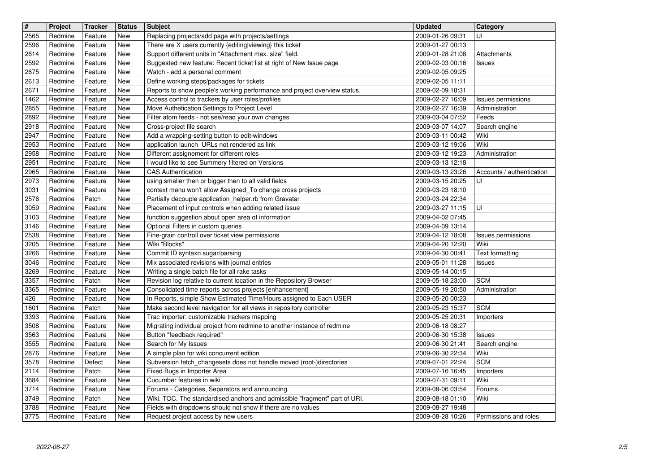| $\overline{\mathbf{H}}$ | Project            | <b>Tracker</b>     | <b>Status</b> | <b>Subject</b>                                                                                                           | <b>Updated</b>                       | Category                  |
|-------------------------|--------------------|--------------------|---------------|--------------------------------------------------------------------------------------------------------------------------|--------------------------------------|---------------------------|
| 2565                    | Redmine            | Feature            | New           | Replacing projects/add page with projects/settings                                                                       | 2009-01-26 09:31                     | UI                        |
| 2596<br>2614            | Redmine<br>Redmine | Feature<br>Feature | New<br>New    | There are X users currently {editing viewing} this ticket<br>Support different units in "Attachment max. size" field.    | 2009-01-27 00:13<br>2009-01-28 21:08 | Attachments               |
| 2592                    | Redmine            | Feature            | New           | Suggested new feature: Recent ticket list at right of New Issue page                                                     | 2009-02-03 00:16                     | <b>Issues</b>             |
| 2675                    | Redmine            | Feature            | New           | Watch - add a personal comment                                                                                           | 2009-02-05 09:25                     |                           |
| 2613                    | Redmine            | Feature            | New           | Define working steps/packages for tickets                                                                                | 2009-02-05 11:11                     |                           |
| 2671                    | Redmine            | Feature            | New           | Reports to show people's working performance and project overview status.                                                | 2009-02-09 18:31                     |                           |
| 1462                    | Redmine            | Feature            | New           | Access control to trackers by user roles/profiles                                                                        | 2009-02-27 16:09                     | Issues permissions        |
| 2855<br>2892            | Redmine<br>Redmine | Feature<br>Feature | New<br>New    | Move Authetication Settings to Project Level<br>Filter atom feeds - not see/read your own changes                        | 2009-02-27 16:39<br>2009-03-04 07:52 | Administration<br>Feeds   |
| 2918                    | Redmine            | Feature            | New           | Cross-project file search                                                                                                | 2009-03-07 14:07                     | Search engine             |
| 2947                    | Redmine            | Feature            | New           | Add a wrapping-setting button to edit-windows                                                                            | 2009-03-11 00:42                     | Wiki                      |
| 2953                    | Redmine            | Feature            | New           | application launch URLs not rendered as link                                                                             | 2009-03-12 19:06                     | Wiki                      |
| 2958                    | Redmine            | Feature            | New           | Different assignement for different roles                                                                                | 2009-03-12 19:23                     | Administration            |
| 2951<br>2965            | Redmine<br>Redmine | Feature<br>Feature | New<br>New    | I would like to see Summery filtered on Versions<br>CAS Authentication                                                   | 2009-03-13 12:18<br>2009-03-13 23:26 | Accounts / authentication |
| 2973                    | Redmine            | Feature            | New           | using smaller then or bigger then to all valid fields                                                                    | 2009-03-15 20:25                     | UI                        |
| 3031                    | Redmine            | Feature            | New           | context menu won't allow Assigned_To change cross projects                                                               | 2009-03-23 18:10                     |                           |
| 2576                    | Redmine            | Patch              | New           | Partially decouple application_helper.rb from Gravatar                                                                   | 2009-03-24 22:34                     |                           |
| 3059<br>3103            | Redmine<br>Redmine | Feature<br>Feature | New<br>New    | Placement of input controls when adding related issue<br>function suggestion about open area of information              | 2009-03-27 11:15<br>2009-04-02 07:45 | UI                        |
| 3146                    | Redmine            | Feature            | New           | Optional Filters in custom queries                                                                                       | 2009-04-09 13:14                     |                           |
| 2538                    | Redmine            | Feature            | New           | Fine-grain controll over ticket view permissions                                                                         | 2009-04-12 18:08                     | Issues permissions        |
| 3205                    | Redmine            | Feature            | New           | Wiki "Blocks"                                                                                                            | 2009-04-20 12:20                     | Wiki                      |
| 3266                    | Redmine            | Feature            | New           | Commit ID syntaxn sugar/parsing                                                                                          | 2009-04-30 00:41                     | Text formatting           |
| 3046<br>3269            | Redmine<br>Redmine | Feature<br>Feature | New<br>New    | Mix associated revisions with journal entries<br>Writing a single batch file for all rake tasks                          | 2009-05-01 11:28<br>2009-05-14 00:15 | <b>Issues</b>             |
| 3357                    | Redmine            | Patch              | New           | Revision log relative to current location in the Repository Browser                                                      | 2009-05-18 23:00                     | <b>SCM</b>                |
| 3365                    | Redmine            | Feature            | New           | Consolidated time reports across projects [enhancement]                                                                  | 2009-05-19 20:50                     | Administration            |
| 426                     | Redmine            | Feature            | New           | In Reports, simple Show Estimated Time/Hours assigned to Each USER                                                       | 2009-05-20 00:23                     |                           |
| 1601                    | Redmine            | Patch              | New           | Make second level navigation for all views in repository controller                                                      | 2009-05-23 15:37                     | <b>SCM</b>                |
| 3393<br>3508            | Redmine<br>Redmine | Feature<br>Feature | New<br>New    | Trac importer: customizable trackers mapping<br>Migrating individual project from redmine to another instance of redmine | 2009-05-25 20:31<br>2009-06-18 08:27 | Importers                 |
| 3563                    | Redmine            | Feature            | New           | Button "feedback required"                                                                                               | 2009-06-30 15:38                     | <b>Issues</b>             |
| 3555                    | Redmine            | Feature            | New           | Search for My Issues                                                                                                     | 2009-06-30 21:41                     | Search engine             |
| 2876                    | Redmine            | Feature            | New           | A simple plan for wiki concurrent edition                                                                                | 2009-06-30 22:34                     | Wiki                      |
| 3578                    | Redmine            | Defect             | <b>New</b>    | Subversion fetch_changesets does not handle moved (root-)directories                                                     | 2009-07-01 22:24                     | <b>SCM</b>                |
| 2114<br>3684            | Redmine<br>Redmine | Patch<br>Feature   | New<br>New    | Fixed Bugs in Importer Area<br>Cucumber features in wiki                                                                 | 2009-07-16 16:45<br>2009-07-31 09:11 | Importers<br>Wiki         |
| 3714                    | Redmine            | Feature            | <b>New</b>    | Forums - Categories, Separators and announcing                                                                           | 2009-08-06 03:54                     | Forums                    |
| 3749                    | Redmine            | Patch              | New           | Wiki. TOC. The standardised anchors and admissible "fragment" part of URI.                                               | 2009-08-18 01:10                     | Wiki                      |
| 3788                    | Redmine            | Feature            | New           | Fields with dropdowns should not show if there are no values                                                             | 2009-08-27 19:48                     |                           |
| 3775                    | Redmine            | Feature            | New           | Request project access by new users                                                                                      | 2009-08-28 10:26                     | Permissions and roles     |
|                         |                    |                    |               |                                                                                                                          |                                      |                           |
|                         |                    |                    |               |                                                                                                                          |                                      |                           |
|                         |                    |                    |               |                                                                                                                          |                                      |                           |
|                         |                    |                    |               |                                                                                                                          |                                      |                           |
|                         |                    |                    |               |                                                                                                                          |                                      |                           |
|                         |                    |                    |               |                                                                                                                          |                                      |                           |
|                         |                    |                    |               |                                                                                                                          |                                      |                           |
|                         |                    |                    |               |                                                                                                                          |                                      |                           |
|                         |                    |                    |               |                                                                                                                          |                                      |                           |
|                         |                    |                    |               |                                                                                                                          |                                      |                           |
|                         |                    |                    |               |                                                                                                                          |                                      |                           |
|                         |                    |                    |               |                                                                                                                          |                                      |                           |
|                         |                    |                    |               |                                                                                                                          |                                      |                           |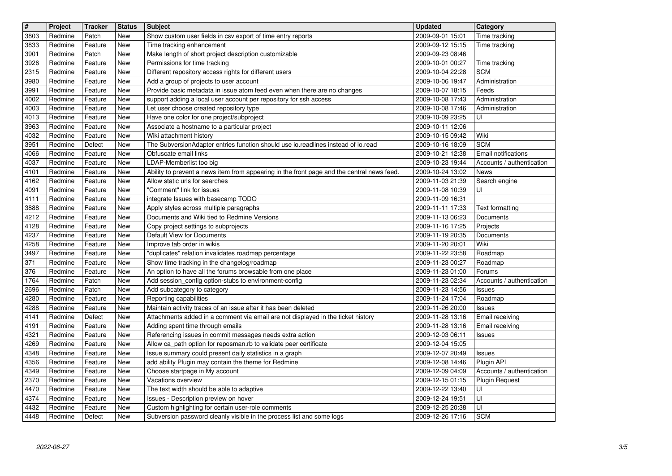| $\overline{\mathbf{H}}$ | Project            | <b>Tracker</b>     | <b>Status</b><br><b>New</b> | <b>Subject</b>                                                                                                                                     | <b>Updated</b><br>2009-09-01 15:01   | Category                                |
|-------------------------|--------------------|--------------------|-----------------------------|----------------------------------------------------------------------------------------------------------------------------------------------------|--------------------------------------|-----------------------------------------|
| 3803<br>3833            | Redmine<br>Redmine | Patch<br>Feature   | New                         | Show custom user fields in csv export of time entry reports<br>Time tracking enhancement                                                           | 2009-09-12 15:15                     | Time tracking<br>Time tracking          |
| 3901                    | Redmine            | Patch              | New<br>New                  | Make length of short project description customizable                                                                                              | 2009-09-23 08:46<br>2009-10-01 00:27 |                                         |
| 3926<br>2315            | Redmine<br>Redmine | Feature<br>Feature | New                         | Permissions for time tracking<br>Different repository access rights for different users                                                            | 2009-10-04 22:28                     | Time tracking<br><b>SCM</b>             |
| 3980                    | Redmine            | Feature            | New                         | Add a group of projects to user account                                                                                                            | 2009-10-06 19:47                     | Administration                          |
| 3991<br>4002            | Redmine<br>Redmine | Feature<br>Feature | New<br>New                  | Provide basic metadata in issue atom feed even when there are no changes<br>support adding a local user account per repository for ssh access      | 2009-10-07 18:15<br>2009-10-08 17:43 | Feeds<br>Administration                 |
| 4003                    | Redmine            | Feature            | New                         | Let user choose created repository type                                                                                                            | 2009-10-08 17:46                     | Administration                          |
| 4013<br>3963            | Redmine<br>Redmine | Feature<br>Feature | New<br>New                  | Have one color for one project/subproject<br>Associate a hostname to a particular project                                                          | 2009-10-09 23:25<br>2009-10-11 12:06 | UI                                      |
| 4032                    | Redmine            | Feature            | New                         | Wiki attachment history                                                                                                                            | 2009-10-15 09:42                     | Wiki                                    |
| 3951<br>4066            | Redmine<br>Redmine | Defect<br>Feature  | New<br>New                  | The SubversionAdapter entries function should use io.readlines instead of io.read<br>Obfuscate email links                                         | 2009-10-16 18:09<br>2009-10-21 12:38 | <b>SCM</b><br>Email notifications       |
| 4037                    | Redmine            | Feature            | New                         | LDAP-Memberlist too big                                                                                                                            | 2009-10-23 19:44                     | Accounts / authentication               |
| 4101<br>4162            | Redmine<br>Redmine | Feature<br>Feature | New<br>New                  | Ability to prevent a news item from appearing in the front page and the central news feed.<br>Allow static urls for searches                       | 2009-10-24 13:02<br>2009-11-03 21:39 | News<br>Search engine                   |
| 4091                    | Redmine            | Feature            | New                         | "Comment" link for issues                                                                                                                          | 2009-11-08 10:39                     | UI                                      |
| 4111<br>3888            | Redmine<br>Redmine | Feature<br>Feature | New<br>New                  | integrate Issues with basecamp TODO<br>Apply styles across multiple paragraphs                                                                     | 2009-11-09 16:31<br>2009-11-11 17:33 | Text formatting                         |
| 4212                    | Redmine            | Feature            | New                         | Documents and Wiki tied to Redmine Versions                                                                                                        | 2009-11-13 06:23                     | Documents                               |
| 4128<br>4237            | Redmine<br>Redmine | Feature<br>Feature | New<br>New                  | Copy project settings to subprojects<br>Default View for Documents                                                                                 | 2009-11-16 17:25<br>2009-11-19 20:35 | Projects<br>Documents                   |
| 4258                    | Redmine            | Feature            | New                         | Improve tab order in wikis                                                                                                                         | 2009-11-20 20:01                     | Wiki                                    |
| 3497<br>371             | Redmine<br>Redmine | Feature<br>Feature | New<br>New                  | "duplicates" relation invalidates roadmap percentage<br>Show time tracking in the changelog/roadmap                                                | 2009-11-22 23:58<br>2009-11-23 00:27 | Roadmap<br>Roadmap                      |
| 376                     | Redmine            | Feature            | New                         | An option to have all the forums browsable from one place                                                                                          | 2009-11-23 01:00                     | Forums                                  |
| 1764<br>2696            | Redmine<br>Redmine | Patch<br>Patch     | New<br>New                  | Add session_config option-stubs to environment-config<br>Add subcategory to category                                                               | 2009-11-23 02:34<br>2009-11-23 14:56 | Accounts / authentication<br>Issues     |
| 4280                    | Redmine            | Feature            | New                         | Reporting capabilities                                                                                                                             | 2009-11-24 17:04                     | Roadmap                                 |
| 4288<br>4141            | Redmine<br>Redmine | Feature<br>Defect  | New<br>New                  | Maintain activity traces of an issue after it has been deleted<br>Attachments added in a comment via email are not displayed in the ticket history | 2009-11-26 20:00<br>2009-11-28 13:16 | Issues<br>Email receiving               |
| 4191                    | Redmine            | Feature            | New                         | Adding spent time through emails                                                                                                                   | 2009-11-28 13:16                     | Email receiving                         |
| 4321<br>4269            | Redmine<br>Redmine | Feature<br>Feature | New<br>New                  | Referencing issues in commit messages needs extra action<br>Allow ca_path option for reposman.rb to validate peer certificate                      | 2009-12-03 06:11<br>2009-12-04 15:05 | Issues                                  |
| 4348                    | Redmine            | Feature            | New                         | Issue summary could present daily statistics in a graph                                                                                            | 2009-12-07 20:49                     | Issues                                  |
| 4356<br>4349            | Redmine<br>Redmine | Feature<br>Feature | New<br>New                  | add ability Plugin may contain the theme for Redmine<br>Choose startpage in My account                                                             | 2009-12-08 14:46<br>2009-12-09 04:09 | Plugin API<br>Accounts / authentication |
| 2370                    | Redmine            | Feature            | New                         | Vacations overview                                                                                                                                 | 2009-12-15 01:15                     | <b>Plugin Request</b>                   |
| 4470<br>4374            | Redmine<br>Redmine | Feature<br>Feature | New<br>New                  | The text width should be able to adaptive<br>Issues - Description preview on hover                                                                 | 2009-12-22 13:40<br>2009-12-24 19:51 | UI<br>UI                                |
| 4432<br>4448            | Redmine            | Feature            | New<br>New                  | Custom highlighting for certain user-role comments<br>Subversion password cleanly visible in the process list and some logs                        | 2009-12-25 20:38                     | UI<br><b>SCM</b>                        |
|                         |                    |                    |                             |                                                                                                                                                    |                                      |                                         |
|                         |                    |                    |                             |                                                                                                                                                    |                                      |                                         |
|                         |                    |                    |                             |                                                                                                                                                    |                                      |                                         |
|                         |                    |                    |                             |                                                                                                                                                    |                                      |                                         |
|                         |                    |                    |                             |                                                                                                                                                    |                                      |                                         |
|                         |                    |                    |                             |                                                                                                                                                    |                                      |                                         |
|                         |                    |                    |                             |                                                                                                                                                    |                                      |                                         |
|                         |                    |                    |                             |                                                                                                                                                    |                                      |                                         |
|                         |                    |                    |                             |                                                                                                                                                    |                                      |                                         |
|                         |                    |                    |                             |                                                                                                                                                    |                                      |                                         |
|                         |                    |                    |                             |                                                                                                                                                    |                                      |                                         |
|                         |                    |                    |                             |                                                                                                                                                    |                                      |                                         |
|                         |                    |                    |                             |                                                                                                                                                    |                                      |                                         |
|                         |                    |                    |                             |                                                                                                                                                    |                                      |                                         |
|                         |                    |                    |                             |                                                                                                                                                    |                                      |                                         |
|                         |                    |                    |                             |                                                                                                                                                    |                                      |                                         |
|                         |                    |                    |                             |                                                                                                                                                    |                                      |                                         |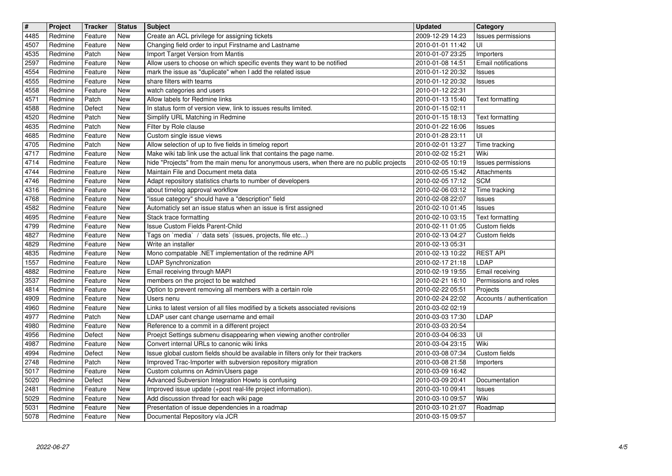| $\overline{\mathbf{H}}$ | Project            | <b>Tracker</b>     | <b>Status</b> | <b>Subject</b>                                                                                                                    | Updated                              | Category                          |
|-------------------------|--------------------|--------------------|---------------|-----------------------------------------------------------------------------------------------------------------------------------|--------------------------------------|-----------------------------------|
| 4485                    | Redmine            | Feature            | New           | Create an ACL privilege for assigning tickets                                                                                     | 2009-12-29 14:23                     | Issues permissions                |
| 4507<br>4535            | Redmine<br>Redmine | Feature<br>Patch   | New<br>New    | Changing field order to input Firstname and Lastname<br>Import Target Version from Mantis                                         | 2010-01-01 11:42<br>2010-01-07 23:25 | UI                                |
| 2597                    | Redmine            | Feature            | New           | Allow users to choose on which specific events they want to be notified                                                           | 2010-01-08 14:51                     | Importers<br>Email notifications  |
| 4554                    | Redmine            | Feature            | New           | mark the issue as "duplicate" when I add the related issue                                                                        | 2010-01-12 20:32                     | <b>Issues</b>                     |
| 4555                    | Redmine            | Feature            | New           | share filters with teams                                                                                                          | 2010-01-12 20:32                     | <b>Issues</b>                     |
| 4558                    | Redmine            | Feature            | New           | watch categories and users                                                                                                        | 2010-01-12 22:31                     |                                   |
| 4571                    | Redmine            | Patch              | New           | Allow labels for Redmine links                                                                                                    | 2010-01-13 15:40                     | Text formatting                   |
| 4588<br>4520            | Redmine<br>Redmine | Defect<br>Patch    | New<br>New    | In status form of version view, link to issues results limited.<br>Simplify URL Matching in Redmine                               | 2010-01-15 02:11<br>2010-01-15 18:13 | Text formatting                   |
| 4635                    | Redmine            | Patch              | New           | Filter by Role clause                                                                                                             | 2010-01-22 16:06                     | <b>Issues</b>                     |
| 4685                    | Redmine            | Feature            | New           | Custom single issue views                                                                                                         | 2010-01-28 23:11                     | UI                                |
| 4705                    | Redmine            | Patch              | New           | Allow selection of up to five fields in timelog report                                                                            | 2010-02-01 13:27                     | Time tracking                     |
| 4717                    | Redmine            | Feature            | New           | Make wiki tab link use the actual link that contains the page name.                                                               | 2010-02-02 15:21                     | Wiki                              |
| 4714<br>4744            | Redmine<br>Redmine | Feature<br>Feature | New<br>New    | hide "Projects" from the main menu for anonymous users, when there are no public projects<br>Maintain File and Document meta data | 2010-02-05 10:19<br>2010-02-05 15:42 | Issues permissions<br>Attachments |
| 4746                    | Redmine            | Feature            | New           | Adapt repository statistics charts to number of developers                                                                        | 2010-02-05 17:12                     | <b>SCM</b>                        |
| 4316                    | Redmine            | Feature            | New           | about timelog approval workflow                                                                                                   | 2010-02-06 03:12                     | Time tracking                     |
| 4768                    | Redmine            | Feature            | New           | "issue category" should have a "description" field                                                                                | 2010-02-08 22:07                     | Issues                            |
| 4582                    | Redmine            | Feature            | New           | Automaticly set an issue status when an issue is first assigned                                                                   | 2010-02-10 01:45                     | <b>Issues</b>                     |
| 4695<br>4799            | Redmine<br>Redmine | Feature<br>Feature | New<br>New    | Stack trace formatting<br>Issue Custom Fields Parent-Child                                                                        | 2010-02-10 03:15<br>2010-02-11 01:05 | Text formatting<br>Custom fields  |
| 4827                    | Redmine            | Feature            | New           | Tags on `media` / `data sets` (issues, projects, file etc)                                                                        | 2010-02-13 04:27                     | Custom fields                     |
| 4829                    | Redmine            | Feature            | New           | Write an installer                                                                                                                | 2010-02-13 05:31                     |                                   |
| 4835                    | Redmine            | Feature            | New           | Mono compatable .NET implementation of the redmine API                                                                            | 2010-02-13 10:22                     | <b>REST API</b>                   |
| 1557                    | Redmine            | Feature            | New           | LDAP Synchronization                                                                                                              | 2010-02-17 21:18                     | LDAP                              |
| 4882<br>3537            | Redmine<br>Redmine | Feature            | New<br>New    | Email receiving through MAPI<br>members on the project to be watched                                                              | 2010-02-19 19:55                     | Email receiving                   |
| 4814                    | Redmine            | Feature<br>Feature | New           | Option to prevent removing all members with a certain role                                                                        | 2010-02-21 16:10<br>2010-02-22 05:51 | Permissions and roles<br>Projects |
| 4909                    | Redmine            | Feature            | New           | Users nenu                                                                                                                        | 2010-02-24 22:02                     | Accounts / authentication         |
| 4960                    | Redmine            | Feature            | New           | Links to latest version of all files modified by a tickets associated revisions                                                   | 2010-03-02 02:19                     |                                   |
| 4977                    | Redmine            | Patch              | New           | LDAP user cant change username and email                                                                                          | 2010-03-03 17:30                     | LDAP                              |
| 4980                    | Redmine            | Feature            | New           | Reference to a commit in a different project                                                                                      | 2010-03-03 20:54                     |                                   |
| 4956<br>4987            | Redmine<br>Redmine | Defect<br>Feature  | New<br>New    | Proejct Settings submenu disappearing when viewing another controller<br>Convert internal URLs to canonic wiki links              | 2010-03-04 06:33<br>2010-03-04 23:15 | UI<br>Wiki                        |
| 4994                    | Redmine            | Defect             | New           | Issue global custom fields should be available in filters only for their trackers                                                 | 2010-03-08 07:34                     | Custom fields                     |
| 2748                    | Redmine            | Patch              | New           | Improved Trac-Importer with subversion repository migration                                                                       | 2010-03-08 21:58                     | Importers                         |
| 5017                    | Redmine            | Feature            | New           | Custom columns on Admin/Users page                                                                                                | 2010-03-09 16:42                     |                                   |
| 5020                    | Redmine            | Defect             | New           | Advanced Subversion Integration Howto is confusing                                                                                | 2010-03-09 20:41                     | Documentation                     |
| 2481<br>5029            | Redmine<br>Redmine | Feature<br>Feature | New<br>New    | Improved issue update (+post real-life project information).<br>Add discussion thread for each wiki page                          | 2010-03-10 09:41<br>2010-03-10 09:57 | Issues<br>Wiki                    |
| 5031                    | Redmine            | Feature            | New           | Presentation of issue dependencies in a roadmap                                                                                   | 2010-03-10 21:07                     | Roadmap                           |
| 5078                    | Redmine            | Feature            | New           | Documental Repository vía JCR                                                                                                     | 2010-03-15 09:57                     |                                   |
|                         |                    |                    |               |                                                                                                                                   |                                      |                                   |
|                         |                    |                    |               |                                                                                                                                   |                                      |                                   |
|                         |                    |                    |               |                                                                                                                                   |                                      |                                   |
|                         |                    |                    |               |                                                                                                                                   |                                      |                                   |
|                         |                    |                    |               |                                                                                                                                   |                                      |                                   |
|                         |                    |                    |               |                                                                                                                                   |                                      |                                   |
|                         |                    |                    |               |                                                                                                                                   |                                      |                                   |
|                         |                    |                    |               |                                                                                                                                   |                                      |                                   |
|                         |                    |                    |               |                                                                                                                                   |                                      |                                   |
|                         |                    |                    |               |                                                                                                                                   |                                      |                                   |
|                         |                    |                    |               |                                                                                                                                   |                                      |                                   |
|                         |                    |                    |               |                                                                                                                                   |                                      |                                   |